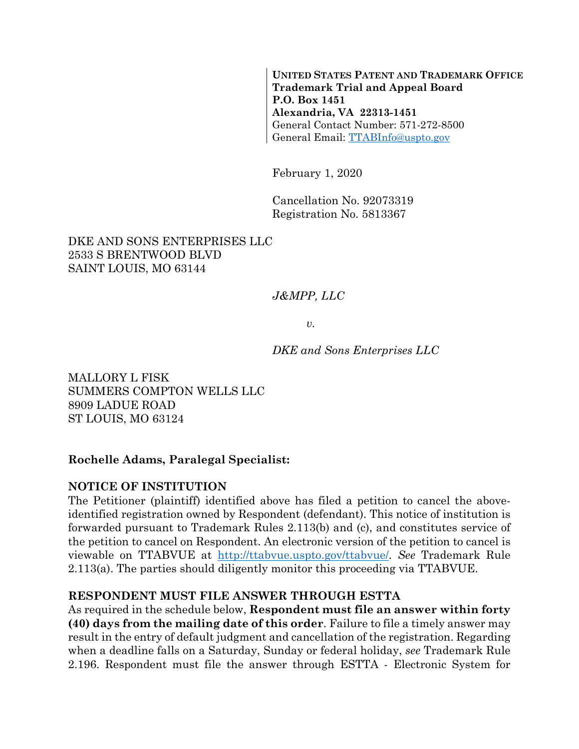**UNITED STATES PATENT AND TRADEMARK OFFICE Trademark Trial and Appeal Board P.O. Box 1451 Alexandria, VA 22313-1451**  General Contact Number: 571-272-8500 General Email: TTABInfo@uspto.gov

February 1, 2020

Cancellation No. 92073319 Registration No. 5813367

#### DKE AND SONS ENTERPRISES LLC 2533 S BRENTWOOD BLVD SAINT LOUIS, MO 63144

## *J&MPP, LLC*

*v.* 

*DKE and Sons Enterprises LLC* 

MALLORY L FISK SUMMERS COMPTON WELLS LLC 8909 LADUE ROAD ST LOUIS, MO 63124

#### **Rochelle Adams, Paralegal Specialist:**

#### **NOTICE OF INSTITUTION**

The Petitioner (plaintiff) identified above has filed a petition to cancel the aboveidentified registration owned by Respondent (defendant). This notice of institution is forwarded pursuant to Trademark Rules 2.113(b) and (c), and constitutes service of the petition to cancel on Respondent. An electronic version of the petition to cancel is viewable on TTABVUE at http://ttabvue.uspto.gov/ttabvue/. *See* Trademark Rule 2.113(a). The parties should diligently monitor this proceeding via TTABVUE.

#### **RESPONDENT MUST FILE ANSWER THROUGH ESTTA**

As required in the schedule below, **Respondent must file an answer within forty (40) days from the mailing date of this order**. Failure to file a timely answer may result in the entry of default judgment and cancellation of the registration. Regarding when a deadline falls on a Saturday, Sunday or federal holiday, *see* Trademark Rule 2.196. Respondent must file the answer through ESTTA - Electronic System for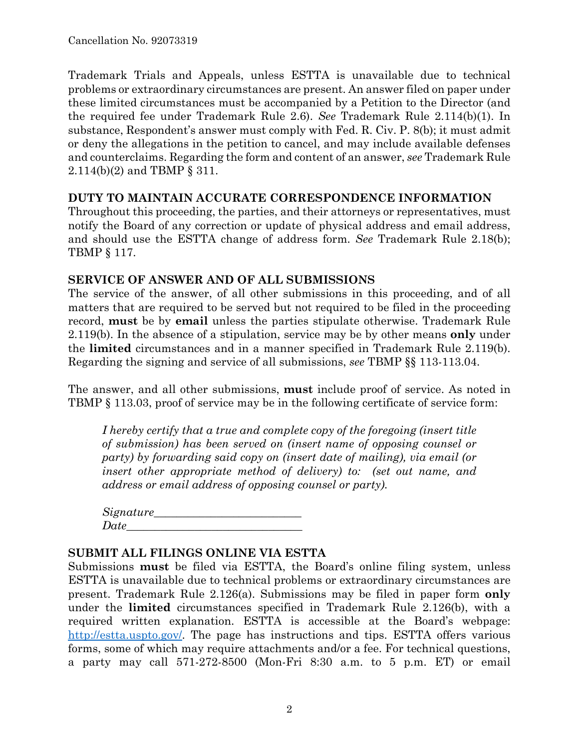Trademark Trials and Appeals, unless ESTTA is unavailable due to technical problems or extraordinary circumstances are present. An answer filed on paper under these limited circumstances must be accompanied by a Petition to the Director (and the required fee under Trademark Rule 2.6). *See* Trademark Rule 2.114(b)(1). In substance, Respondent's answer must comply with Fed. R. Civ. P. 8(b); it must admit or deny the allegations in the petition to cancel, and may include available defenses and counterclaims. Regarding the form and content of an answer, *see* Trademark Rule 2.114(b)(2) and TBMP § 311.

#### **DUTY TO MAINTAIN ACCURATE CORRESPONDENCE INFORMATION**

Throughout this proceeding, the parties, and their attorneys or representatives, must notify the Board of any correction or update of physical address and email address, and should use the ESTTA change of address form. *See* Trademark Rule 2.18(b); TBMP § 117.

## **SERVICE OF ANSWER AND OF ALL SUBMISSIONS**

The service of the answer, of all other submissions in this proceeding, and of all matters that are required to be served but not required to be filed in the proceeding record, **must** be by **email** unless the parties stipulate otherwise. Trademark Rule 2.119(b). In the absence of a stipulation, service may be by other means **only** under the **limited** circumstances and in a manner specified in Trademark Rule 2.119(b). Regarding the signing and service of all submissions, *see* TBMP §§ 113-113.04.

The answer, and all other submissions, **must** include proof of service. As noted in TBMP § 113.03, proof of service may be in the following certificate of service form:

*I hereby certify that a true and complete copy of the foregoing (insert title of submission) has been served on (insert name of opposing counsel or party) by forwarding said copy on (insert date of mailing), via email (or insert other appropriate method of delivery) to: (set out name, and address or email address of opposing counsel or party).* 

| Signature_ |  |  |
|------------|--|--|
| Date       |  |  |

#### **SUBMIT ALL FILINGS ONLINE VIA ESTTA**

Submissions **must** be filed via ESTTA, the Board's online filing system, unless ESTTA is unavailable due to technical problems or extraordinary circumstances are present. Trademark Rule 2.126(a). Submissions may be filed in paper form **only** under the **limited** circumstances specified in Trademark Rule 2.126(b), with a required written explanation. ESTTA is accessible at the Board's webpage: http://estta.uspto.gov/. The page has instructions and tips. ESTTA offers various forms, some of which may require attachments and/or a fee. For technical questions, a party may call 571-272-8500 (Mon-Fri 8:30 a.m. to 5 p.m. ET) or email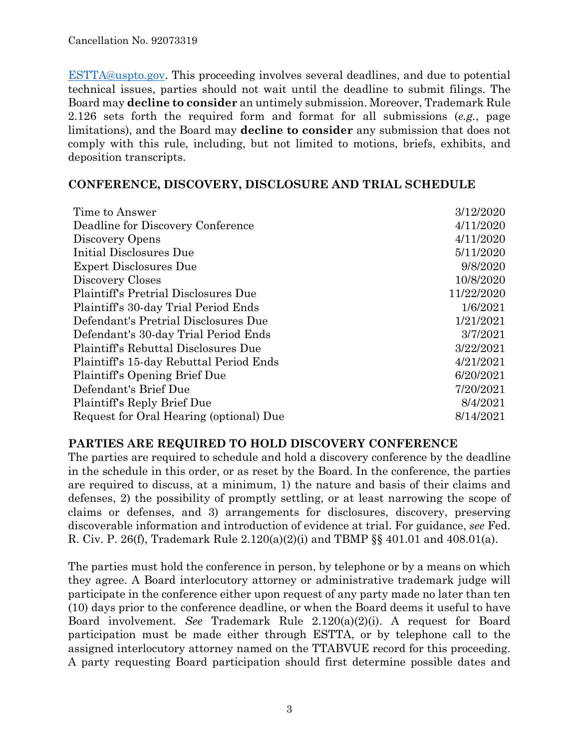ESTTA@uspto.gov. This proceeding involves several deadlines, and due to potential technical issues, parties should not wait until the deadline to submit filings. The Board may **decline to consider** an untimely submission. Moreover, Trademark Rule 2.126 sets forth the required form and format for all submissions (*e.g.*, page limitations), and the Board may **decline to consider** any submission that does not comply with this rule, including, but not limited to motions, briefs, exhibits, and deposition transcripts.

#### **CONFERENCE, DISCOVERY, DISCLOSURE AND TRIAL SCHEDULE**

| Time to Answer                              | 3/12/2020  |
|---------------------------------------------|------------|
| Deadline for Discovery Conference           | 4/11/2020  |
| Discovery Opens                             | 4/11/2020  |
| Initial Disclosures Due                     | 5/11/2020  |
| <b>Expert Disclosures Due</b>               | 9/8/2020   |
| Discovery Closes                            | 10/8/2020  |
| Plaintiff's Pretrial Disclosures Due        | 11/22/2020 |
| Plaintiff's 30-day Trial Period Ends        | 1/6/2021   |
| Defendant's Pretrial Disclosures Due        | 1/21/2021  |
| Defendant's 30-day Trial Period Ends        | 3/7/2021   |
| <b>Plaintiff's Rebuttal Disclosures Due</b> | 3/22/2021  |
| Plaintiff's 15-day Rebuttal Period Ends     | 4/21/2021  |
| Plaintiff's Opening Brief Due               | 6/20/2021  |
| Defendant's Brief Due                       | 7/20/2021  |
| Plaintiff's Reply Brief Due                 | 8/4/2021   |
| Request for Oral Hearing (optional) Due     | 8/14/2021  |

## **PARTIES ARE REQUIRED TO HOLD DISCOVERY CONFERENCE**

The parties are required to schedule and hold a discovery conference by the deadline in the schedule in this order, or as reset by the Board. In the conference, the parties are required to discuss, at a minimum, 1) the nature and basis of their claims and defenses, 2) the possibility of promptly settling, or at least narrowing the scope of claims or defenses, and 3) arrangements for disclosures, discovery, preserving discoverable information and introduction of evidence at trial. For guidance, *see* Fed. R. Civ. P. 26(f), Trademark Rule 2.120(a)(2)(i) and TBMP §§ 401.01 and 408.01(a).

The parties must hold the conference in person, by telephone or by a means on which they agree. A Board interlocutory attorney or administrative trademark judge will participate in the conference either upon request of any party made no later than ten (10) days prior to the conference deadline, or when the Board deems it useful to have Board involvement. *See* Trademark Rule 2.120(a)(2)(i). A request for Board participation must be made either through ESTTA, or by telephone call to the assigned interlocutory attorney named on the TTABVUE record for this proceeding. A party requesting Board participation should first determine possible dates and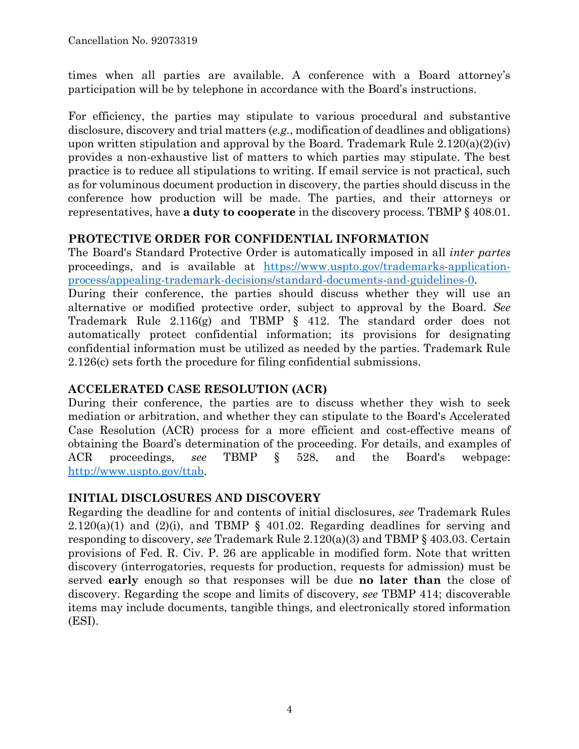times when all parties are available. A conference with a Board attorney's participation will be by telephone in accordance with the Board's instructions.

For efficiency, the parties may stipulate to various procedural and substantive disclosure, discovery and trial matters (*e.g.*, modification of deadlines and obligations) upon written stipulation and approval by the Board. Trademark Rule  $2.120(a)(2)(iv)$ provides a non-exhaustive list of matters to which parties may stipulate. The best practice is to reduce all stipulations to writing. If email service is not practical, such as for voluminous document production in discovery, the parties should discuss in the conference how production will be made. The parties, and their attorneys or representatives, have **a duty to cooperate** in the discovery process. TBMP § 408.01.

## **PROTECTIVE ORDER FOR CONFIDENTIAL INFORMATION**

The Board's Standard Protective Order is automatically imposed in all *inter partes* proceedings, and is available at https://www.uspto.gov/trademarks-applicationprocess/appealing-trademark-decisions/standard-documents-and-guidelines-0.

During their conference, the parties should discuss whether they will use an alternative or modified protective order, subject to approval by the Board. *See* Trademark Rule 2.116(g) and TBMP § 412. The standard order does not automatically protect confidential information; its provisions for designating confidential information must be utilized as needed by the parties. Trademark Rule 2.126(c) sets forth the procedure for filing confidential submissions.

# **ACCELERATED CASE RESOLUTION (ACR)**

During their conference, the parties are to discuss whether they wish to seek mediation or arbitration, and whether they can stipulate to the Board's Accelerated Case Resolution (ACR) process for a more efficient and cost-effective means of obtaining the Board's determination of the proceeding. For details, and examples of ACR proceedings, *see* TBMP § 528, and the Board's webpage: http://www.uspto.gov/ttab.

# **INITIAL DISCLOSURES AND DISCOVERY**

Regarding the deadline for and contents of initial disclosures, *see* Trademark Rules  $2.120(a)(1)$  and  $(2)(i)$ , and TBMP § 401.02. Regarding deadlines for serving and responding to discovery, *see* Trademark Rule 2.120(a)(3) and TBMP § 403.03. Certain provisions of Fed. R. Civ. P. 26 are applicable in modified form. Note that written discovery (interrogatories, requests for production, requests for admission) must be served **early** enough so that responses will be due **no later than** the close of discovery. Regarding the scope and limits of discovery, *see* TBMP 414; discoverable items may include documents, tangible things, and electronically stored information (ESI).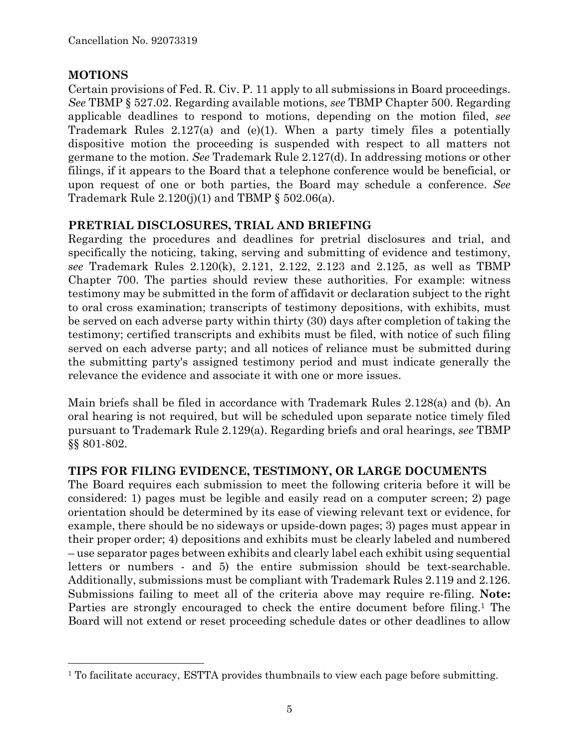## **MOTIONS**

1

Certain provisions of Fed. R. Civ. P. 11 apply to all submissions in Board proceedings. *See* TBMP § 527.02. Regarding available motions, *see* TBMP Chapter 500. Regarding applicable deadlines to respond to motions, depending on the motion filed, *see* Trademark Rules 2.127(a) and (e)(1). When a party timely files a potentially dispositive motion the proceeding is suspended with respect to all matters not germane to the motion. *See* Trademark Rule 2.127(d). In addressing motions or other filings, if it appears to the Board that a telephone conference would be beneficial, or upon request of one or both parties, the Board may schedule a conference. *See* Trademark Rule  $2.120(j)(1)$  and TBMP § 502.06(a).

# **PRETRIAL DISCLOSURES, TRIAL AND BRIEFING**

Regarding the procedures and deadlines for pretrial disclosures and trial, and specifically the noticing, taking, serving and submitting of evidence and testimony, *see* Trademark Rules 2.120(k), 2.121, 2.122, 2.123 and 2.125, as well as TBMP Chapter 700. The parties should review these authorities. For example: witness testimony may be submitted in the form of affidavit or declaration subject to the right to oral cross examination; transcripts of testimony depositions, with exhibits, must be served on each adverse party within thirty (30) days after completion of taking the testimony; certified transcripts and exhibits must be filed, with notice of such filing served on each adverse party; and all notices of reliance must be submitted during the submitting party's assigned testimony period and must indicate generally the relevance the evidence and associate it with one or more issues.

Main briefs shall be filed in accordance with Trademark Rules 2.128(a) and (b). An oral hearing is not required, but will be scheduled upon separate notice timely filed pursuant to Trademark Rule 2.129(a). Regarding briefs and oral hearings, *see* TBMP §§ 801-802.

# **TIPS FOR FILING EVIDENCE, TESTIMONY, OR LARGE DOCUMENTS**

The Board requires each submission to meet the following criteria before it will be considered: 1) pages must be legible and easily read on a computer screen; 2) page orientation should be determined by its ease of viewing relevant text or evidence, for example, there should be no sideways or upside-down pages; 3) pages must appear in their proper order; 4) depositions and exhibits must be clearly labeled and numbered – use separator pages between exhibits and clearly label each exhibit using sequential letters or numbers - and 5) the entire submission should be text-searchable. Additionally, submissions must be compliant with Trademark Rules 2.119 and 2.126. Submissions failing to meet all of the criteria above may require re-filing. **Note:** Parties are strongly encouraged to check the entire document before filing.<sup>1</sup> The Board will not extend or reset proceeding schedule dates or other deadlines to allow

<sup>&</sup>lt;sup>1</sup> To facilitate accuracy, ESTTA provides thumbnails to view each page before submitting.